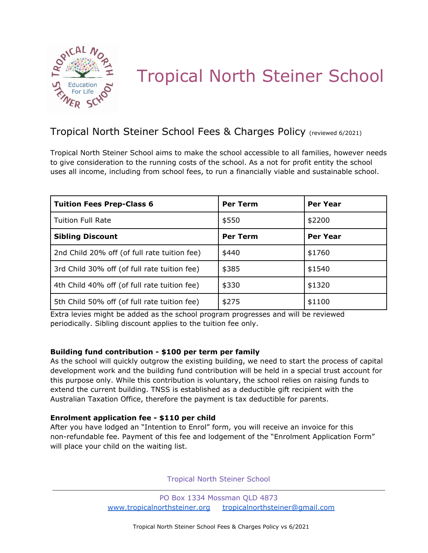

# Tropical North Steiner School

# Tropical North Steiner School Fees & Charges Policy (reviewed 6/2021)

Tropical North Steiner School aims to make the school accessible to all families, however needs to give consideration to the running costs of the school. As a not for profit entity the school uses all income, including from school fees, to run a financially viable and sustainable school.

| <b>Tuition Fees Prep-Class 6</b>             | <b>Per Term</b> | <b>Per Year</b> |
|----------------------------------------------|-----------------|-----------------|
| <b>Tuition Full Rate</b>                     | \$550           | \$2200          |
| <b>Sibling Discount</b>                      | <b>Per Term</b> | Per Year        |
| 2nd Child 20% off (of full rate tuition fee) | \$440           | \$1760          |
| 3rd Child 30% off (of full rate tuition fee) | \$385           | \$1540          |
| 4th Child 40% off (of full rate tuition fee) | \$330           | \$1320          |
| 5th Child 50% off (of full rate tuition fee) | \$275           | \$1100          |

Extra levies might be added as the school program progresses and will be reviewed periodically. Sibling discount applies to the tuition fee only.

# **Building fund contribution - \$100 per term per family**

As the school will quickly outgrow the existing building, we need to start the process of capital development work and the building fund contribution will be held in a special trust account for this purpose only. While this contribution is voluntary, the school relies on raising funds to extend the current building. TNSS is established as a deductible gift recipient with the Australian Taxation Office, therefore the payment is tax deductible for parents.

### **Enrolment application fee - \$110 per child**

After you have lodged an "Intention to Enrol" form, you will receive an invoice for this non-refundable fee. Payment of this fee and lodgement of the "Enrolment Application Form" will place your child on the waiting list.

Tropical North Steiner School

PO Box 1334 Mossman QLD 4873 www.tropicalnorthsteiner.org tropicalnorthsteiner@gmail.com